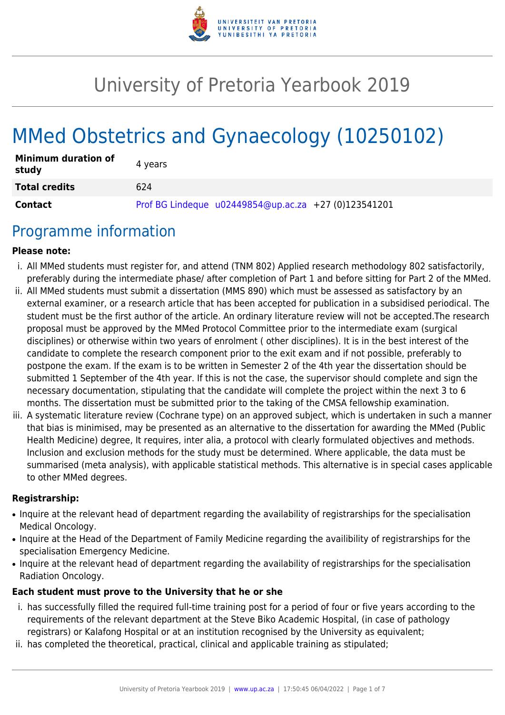

# University of Pretoria Yearbook 2019

# MMed Obstetrics and Gynaecology (10250102)

| <b>Minimum duration of</b><br>study | 4 vears                                                |
|-------------------------------------|--------------------------------------------------------|
| <b>Total credits</b>                | 624                                                    |
| <b>Contact</b>                      | Prof BG Lindeque $u02449854@up.ac.za$ +27 (0)123541201 |

## Programme information

#### **Please note:**

- i. All MMed students must register for, and attend (TNM 802) Applied research methodology 802 satisfactorily, preferably during the intermediate phase/ after completion of Part 1 and before sitting for Part 2 of the MMed.
- ii. All MMed students must submit a dissertation (MMS 890) which must be assessed as satisfactory by an external examiner, or a research article that has been accepted for publication in a subsidised periodical. The student must be the first author of the article. An ordinary literature review will not be accepted.The research proposal must be approved by the MMed Protocol Committee prior to the intermediate exam (surgical disciplines) or otherwise within two years of enrolment ( other disciplines). It is in the best interest of the candidate to complete the research component prior to the exit exam and if not possible, preferably to postpone the exam. If the exam is to be written in Semester 2 of the 4th year the dissertation should be submitted 1 September of the 4th year. If this is not the case, the supervisor should complete and sign the necessary documentation, stipulating that the candidate will complete the project within the next 3 to 6 months. The dissertation must be submitted prior to the taking of the CMSA fellowship examination.
- iii. A systematic literature review (Cochrane type) on an approved subject, which is undertaken in such a manner that bias is minimised, may be presented as an alternative to the dissertation for awarding the MMed (Public Health Medicine) degree, It requires, inter alia, a protocol with clearly formulated objectives and methods. Inclusion and exclusion methods for the study must be determined. Where applicable, the data must be summarised (meta analysis), with applicable statistical methods. This alternative is in special cases applicable to other MMed degrees.

#### **Registrarship:**

- Inquire at the relevant head of department regarding the availability of registrarships for the specialisation Medical Oncology.
- Inquire at the Head of the Department of Family Medicine regarding the availibility of registrarships for the specialisation Emergency Medicine.
- Inquire at the relevant head of department regarding the availability of registrarships for the specialisation Radiation Oncology.

#### **Each student must prove to the University that he or she**

- i. has successfully filled the required full-time training post for a period of four or five years according to the requirements of the relevant department at the Steve Biko Academic Hospital, (in case of pathology registrars) or Kalafong Hospital or at an institution recognised by the University as equivalent;
- ii. has completed the theoretical, practical, clinical and applicable training as stipulated;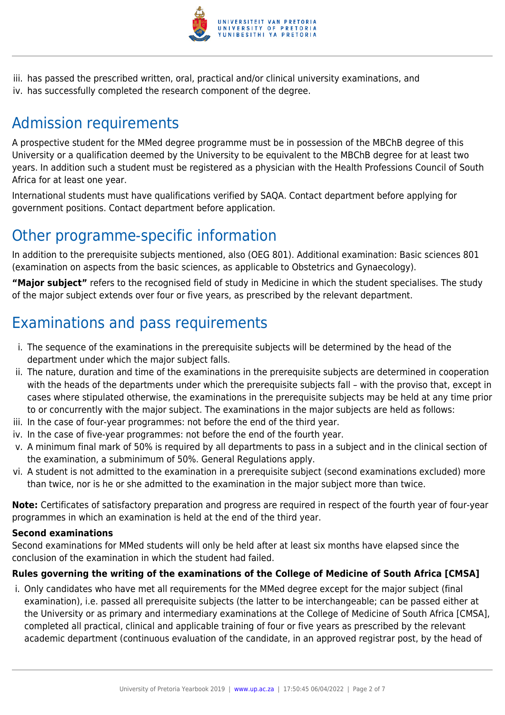

iii. has passed the prescribed written, oral, practical and/or clinical university examinations, and iv. has successfully completed the research component of the degree.

# Admission requirements

A prospective student for the MMed degree programme must be in possession of the MBChB degree of this University or a qualification deemed by the University to be equivalent to the MBChB degree for at least two years. In addition such a student must be registered as a physician with the Health Professions Council of South Africa for at least one year.

International students must have qualifications verified by SAQA. Contact department before applying for government positions. Contact department before application.

## Other programme-specific information

In addition to the prerequisite subjects mentioned, also (OEG 801). Additional examination: Basic sciences 801 (examination on aspects from the basic sciences, as applicable to Obstetrics and Gynaecology).

**"Major subject"** refers to the recognised field of study in Medicine in which the student specialises. The study of the major subject extends over four or five years, as prescribed by the relevant department.

# Examinations and pass requirements

- i. The sequence of the examinations in the prerequisite subjects will be determined by the head of the department under which the major subject falls.
- ii. The nature, duration and time of the examinations in the prerequisite subjects are determined in cooperation with the heads of the departments under which the prerequisite subjects fall – with the proviso that, except in cases where stipulated otherwise, the examinations in the prerequisite subjects may be held at any time prior to or concurrently with the major subject. The examinations in the major subjects are held as follows:
- iii. In the case of four-year programmes: not before the end of the third year.
- iv. In the case of five-year programmes: not before the end of the fourth year.
- v. A minimum final mark of 50% is required by all departments to pass in a subject and in the clinical section of the examination, a subminimum of 50%. General Regulations apply.
- vi. A student is not admitted to the examination in a prerequisite subject (second examinations excluded) more than twice, nor is he or she admitted to the examination in the major subject more than twice.

**Note:** Certificates of satisfactory preparation and progress are required in respect of the fourth year of four-year programmes in which an examination is held at the end of the third year.

#### **Second examinations**

Second examinations for MMed students will only be held after at least six months have elapsed since the conclusion of the examination in which the student had failed.

#### **Rules governing the writing of the examinations of the College of Medicine of South Africa [CMSA]**

i. Only candidates who have met all requirements for the MMed degree except for the major subject (final examination), i.e. passed all prerequisite subjects (the latter to be interchangeable; can be passed either at the University or as primary and intermediary examinations at the College of Medicine of South Africa [CMSA], completed all practical, clinical and applicable training of four or five years as prescribed by the relevant academic department (continuous evaluation of the candidate, in an approved registrar post, by the head of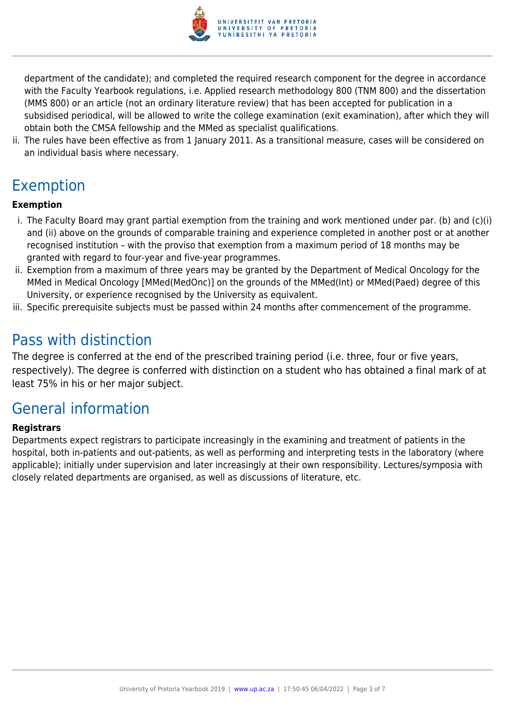

department of the candidate); and completed the required research component for the degree in accordance with the Faculty Yearbook regulations, i.e. Applied research methodology 800 (TNM 800) and the dissertation (MMS 800) or an article (not an ordinary literature review) that has been accepted for publication in a subsidised periodical, will be allowed to write the college examination (exit examination), after which they will obtain both the CMSA fellowship and the MMed as specialist qualifications.

ii. The rules have been effective as from 1 January 2011. As a transitional measure, cases will be considered on an individual basis where necessary.

## Exemption

#### **Exemption**

- i. The Faculty Board may grant partial exemption from the training and work mentioned under par. (b) and (c)(i) and (ii) above on the grounds of comparable training and experience completed in another post or at another recognised institution – with the proviso that exemption from a maximum period of 18 months may be granted with regard to four-year and five-year programmes.
- ii. Exemption from a maximum of three years may be granted by the Department of Medical Oncology for the MMed in Medical Oncology [MMed(MedOnc)] on the grounds of the MMed(Int) or MMed(Paed) degree of this University, or experience recognised by the University as equivalent.
- iii. Specific prerequisite subjects must be passed within 24 months after commencement of the programme.

## Pass with distinction

The degree is conferred at the end of the prescribed training period (i.e. three, four or five years, respectively). The degree is conferred with distinction on a student who has obtained a final mark of at least 75% in his or her major subject.

## General information

#### **Registrars**

Departments expect registrars to participate increasingly in the examining and treatment of patients in the hospital, both in-patients and out-patients, as well as performing and interpreting tests in the laboratory (where applicable); initially under supervision and later increasingly at their own responsibility. Lectures/symposia with closely related departments are organised, as well as discussions of literature, etc.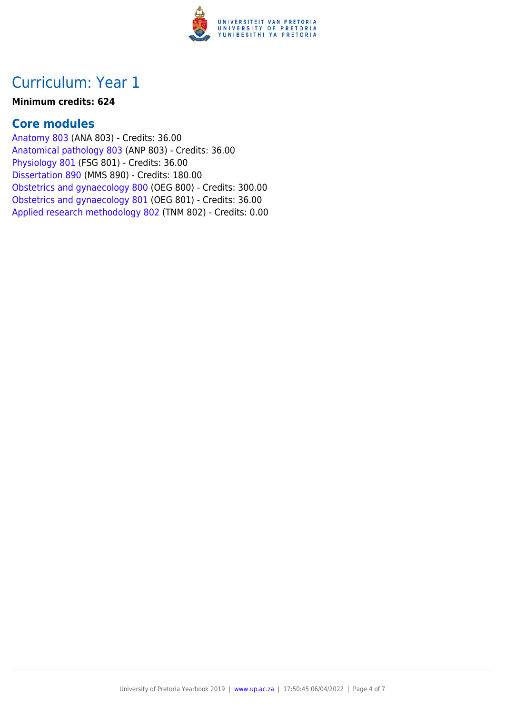

### Curriculum: Year 1

#### **Minimum credits: 624**

### **Core modules**

[Anatomy 803](https://www.up.ac.za/faculty-of-education/yearbooks/2019/modules/view/ANA 803) (ANA 803) - Credits: 36.00 [Anatomical pathology 803](https://www.up.ac.za/faculty-of-education/yearbooks/2019/modules/view/ANP 803) (ANP 803) - Credits: 36.00 [Physiology 801](https://www.up.ac.za/faculty-of-education/yearbooks/2019/modules/view/FSG 801) (FSG 801) - Credits: 36.00 [Dissertation 890](https://www.up.ac.za/faculty-of-education/yearbooks/2019/modules/view/MMS 890) (MMS 890) - Credits: 180.00 [Obstetrics and gynaecology 800](https://www.up.ac.za/faculty-of-education/yearbooks/2019/modules/view/OEG 800) (OEG 800) - Credits: 300.00 [Obstetrics and gynaecology 801](https://www.up.ac.za/faculty-of-education/yearbooks/2019/modules/view/OEG 801) (OEG 801) - Credits: 36.00 [Applied research methodology 802](https://www.up.ac.za/faculty-of-education/yearbooks/2019/modules/view/TNM 802) (TNM 802) - Credits: 0.00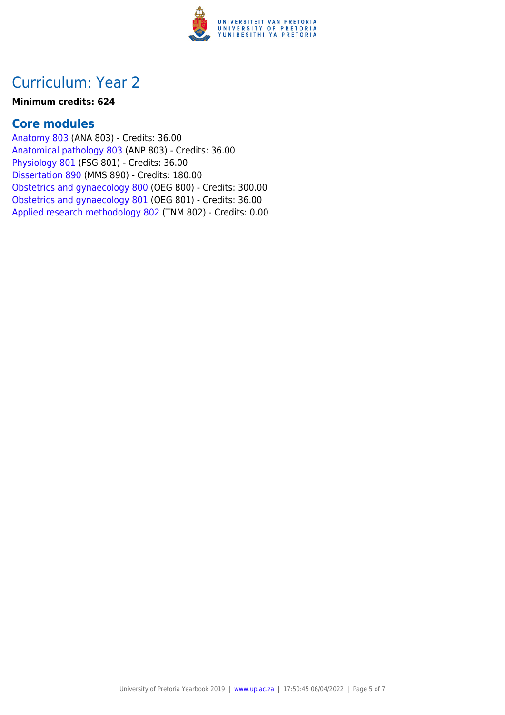

### Curriculum: Year 2

#### **Minimum credits: 624**

### **Core modules**

[Anatomy 803](https://www.up.ac.za/faculty-of-education/yearbooks/2019/modules/view/ANA 803) (ANA 803) - Credits: 36.00 [Anatomical pathology 803](https://www.up.ac.za/faculty-of-education/yearbooks/2019/modules/view/ANP 803) (ANP 803) - Credits: 36.00 [Physiology 801](https://www.up.ac.za/faculty-of-education/yearbooks/2019/modules/view/FSG 801) (FSG 801) - Credits: 36.00 [Dissertation 890](https://www.up.ac.za/faculty-of-education/yearbooks/2019/modules/view/MMS 890) (MMS 890) - Credits: 180.00 [Obstetrics and gynaecology 800](https://www.up.ac.za/faculty-of-education/yearbooks/2019/modules/view/OEG 800) (OEG 800) - Credits: 300.00 [Obstetrics and gynaecology 801](https://www.up.ac.za/faculty-of-education/yearbooks/2019/modules/view/OEG 801) (OEG 801) - Credits: 36.00 [Applied research methodology 802](https://www.up.ac.za/faculty-of-education/yearbooks/2019/modules/view/TNM 802) (TNM 802) - Credits: 0.00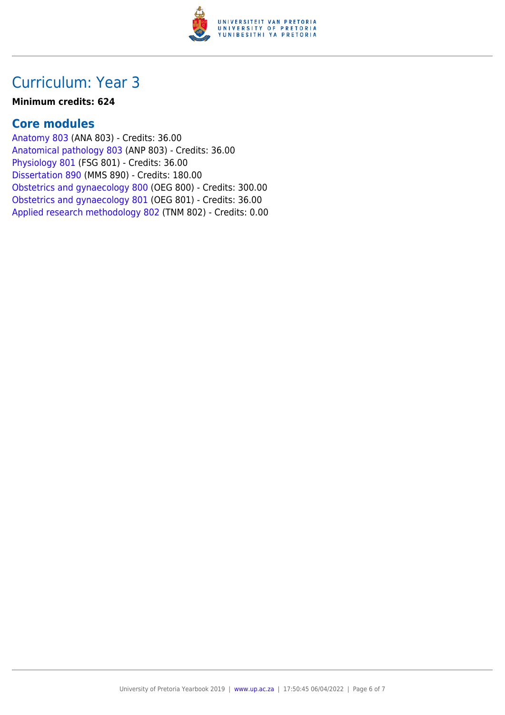

### Curriculum: Year 3

#### **Minimum credits: 624**

### **Core modules**

[Anatomy 803](https://www.up.ac.za/faculty-of-education/yearbooks/2019/modules/view/ANA 803) (ANA 803) - Credits: 36.00 [Anatomical pathology 803](https://www.up.ac.za/faculty-of-education/yearbooks/2019/modules/view/ANP 803) (ANP 803) - Credits: 36.00 [Physiology 801](https://www.up.ac.za/faculty-of-education/yearbooks/2019/modules/view/FSG 801) (FSG 801) - Credits: 36.00 [Dissertation 890](https://www.up.ac.za/faculty-of-education/yearbooks/2019/modules/view/MMS 890) (MMS 890) - Credits: 180.00 [Obstetrics and gynaecology 800](https://www.up.ac.za/faculty-of-education/yearbooks/2019/modules/view/OEG 800) (OEG 800) - Credits: 300.00 [Obstetrics and gynaecology 801](https://www.up.ac.za/faculty-of-education/yearbooks/2019/modules/view/OEG 801) (OEG 801) - Credits: 36.00 [Applied research methodology 802](https://www.up.ac.za/faculty-of-education/yearbooks/2019/modules/view/TNM 802) (TNM 802) - Credits: 0.00